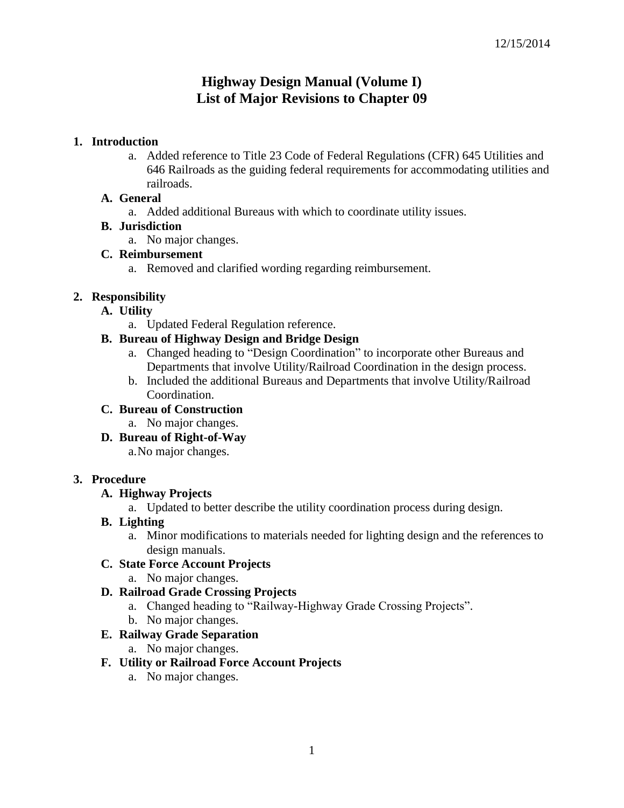# **Highway Design Manual (Volume I) List of Major Revisions to Chapter 09**

### **1. Introduction**

a. Added reference to Title 23 Code of Federal Regulations (CFR) 645 Utilities and 646 Railroads as the guiding federal requirements for accommodating utilities and railroads.

## **A. General**

a. Added additional Bureaus with which to coordinate utility issues.

## **B. Jurisdiction**

a. No major changes.

### **C. Reimbursement**

a. Removed and clarified wording regarding reimbursement.

### **2. Responsibility**

- **A. Utility**
	- a. Updated Federal Regulation reference.

# **B. Bureau of Highway Design and Bridge Design**

- a. Changed heading to "Design Coordination" to incorporate other Bureaus and Departments that involve Utility/Railroad Coordination in the design process.
- b. Included the additional Bureaus and Departments that involve Utility/Railroad Coordination.

## **C. Bureau of Construction**

a. No major changes.

# **D. Bureau of Right-of-Way**

a.No major changes.

# **3. Procedure**

#### **A. Highway Projects**

a. Updated to better describe the utility coordination process during design.

### **B. Lighting**

a. Minor modifications to materials needed for lighting design and the references to design manuals.

#### **C. State Force Account Projects**

a. No major changes.

# **D. Railroad Grade Crossing Projects**

- a. Changed heading to "Railway-Highway Grade Crossing Projects".
- b. No major changes.

# **E. Railway Grade Separation**

a. No major changes.

# **F. Utility or Railroad Force Account Projects**

a. No major changes.